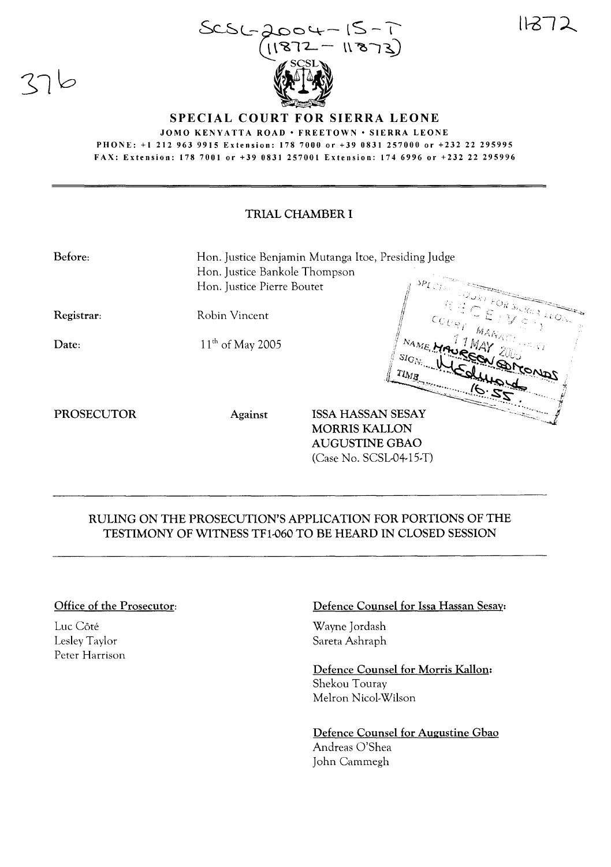$11272$ 





JOMO KENYATTA ROAD · FREETOWN · SIERRA LEONE PHONE: +1212 963 9915 Extension: 178 7000 or +39 0831257000 or +232 22 295995 FAX: Extension: 178 7001 or +39 0831257001 Extension: 174 6996 or +232 22 295996

# TRIAL CHAMBER I

| Before:           | Hon. Justice Benjamin Mutanga Itoe, Presiding Judge<br>Hon. Justice Bankole Thompson<br>Hon. Justice Pierre Boutet |                                                                                                       |                                 |                                                                                                                                                                                                                                                                                                                   |
|-------------------|--------------------------------------------------------------------------------------------------------------------|-------------------------------------------------------------------------------------------------------|---------------------------------|-------------------------------------------------------------------------------------------------------------------------------------------------------------------------------------------------------------------------------------------------------------------------------------------------------------------|
| Registrar:        | Robin Vincent                                                                                                      |                                                                                                       |                                 | $\sim \frac{1000 k_B F}{\gamma} \sum_{n=1}^{\infty} \frac{S_{\ell n} R_{R,3}}{\gamma} \frac{1}{2} E_{Q_{\ell n}}$<br>RECEIVE .<br>$\begin{aligned} \mathsf{CC}_{U\mathcal{B}_{I}} \parallel_{\mathsf{MAX}_{\mathcal{A}_{V\mathcal{A}_{I}}^{G_{I}}}, \ldots, \mathbb{C}_{V\mathcal{A}_{V}}^{G_{V}}} \end{aligned}$ |
| Date:             | $11^{th}$ of May 2005                                                                                              |                                                                                                       | $T l_{M, \mathcal{B}_{\infty}}$ | NAME MAUREAU QURONOS<br>SIGN WCOMPY<br>720                                                                                                                                                                                                                                                                        |
| <b>PROSECUTOR</b> | Against                                                                                                            | <b>ISSA HASSAN SESAY</b><br><b>MORRIS KALLON</b><br><b>AUGUSTINE GBAO</b><br>$(Case No. SCSL04-15-T)$ |                                 |                                                                                                                                                                                                                                                                                                                   |

# RULING ON THE PROSECUTION'S APPLICATION FOR PORTIONS OF THE TESTIMONY OF WITNESS TF1-060 TO BE HEARD IN CLOSED SESSION

### Office of the Prosecutor:

Luc Côté Lesley Taylor Peter Harrison

#### Defence Counsel for Issa Hassan Sesay:

Wayne Jordash Sareta Ashraph

Defence Counsel for Morris Kallon: Shekou Touray Melron Nicol-Wilson

Defence Counsel for Augustine Gbao Andreas O'Shea John Cammegh